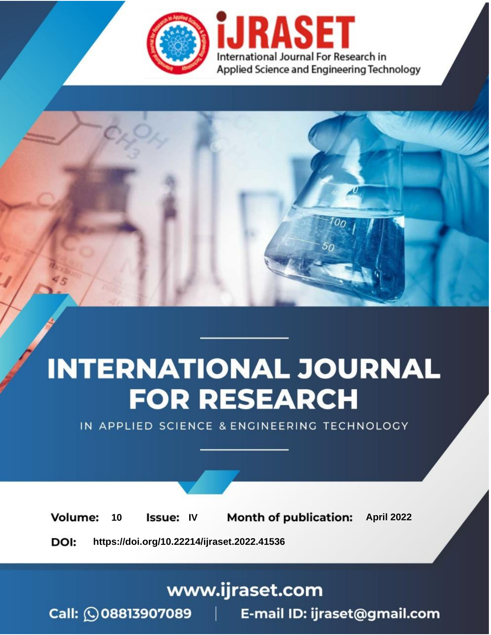

# **INTERNATIONAL JOURNAL FOR RESEARCH**

IN APPLIED SCIENCE & ENGINEERING TECHNOLOGY

10 **Issue: IV Month of publication:** April 2022 **Volume:** 

**https://doi.org/10.22214/ijraset.2022.41536**DOI:

www.ijraset.com

Call: 008813907089 | E-mail ID: ijraset@gmail.com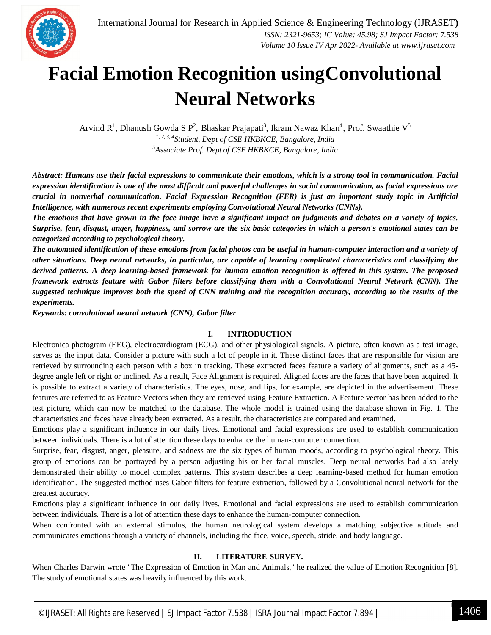### **Facial Emotion Recognition usingConvolutional Neural Networks**

Arvind R<sup>1</sup>, Dhanush Gowda S P<sup>2</sup>, Bhaskar Prajapati<sup>3</sup>, Ikram Nawaz Khan<sup>4</sup>, Prof. Swaathie V<sup>5</sup> *1, 2, 3, 4Student, Dept of CSE HKBKCE, Bangalore, India <sup>5</sup>Associate Prof. Dept of CSE HKBKCE, Bangalore, India*

*Abstract: Humans use their facial expressions to communicate their emotions, which is a strong tool in communication. Facial expression identification is one of the most difficult and powerful challenges in social communication, as facial expressions are crucial in nonverbal communication. Facial Expression Recognition (FER) is just an important study topic in Artificial Intelligence, with numerous recent experiments employing Convolutional Neural Networks (CNNs).*

*The emotions that have grown in the face image have a significant impact on judgments and debates on a variety of topics. Surprise, fear, disgust, anger, happiness, and sorrow are the six basic categories in which a person's emotional states can be categorized according to psychological theory.*

*The automated identification of these emotions from facial photos can be useful in human-computer interaction and a variety of other situations. Deep neural networks, in particular, are capable of learning complicated characteristics and classifying the derived patterns. A deep learning-based framework for human emotion recognition is offered in this system. The proposed framework extracts feature with Gabor filters before classifying them with a Convolutional Neural Network (CNN). The suggested technique improves both the speed of CNN training and the recognition accuracy, according to the results of the experiments.*

*Keywords: convolutional neural network (CNN), Gabor filter*

#### **I. INTRODUCTION**

Electronica photogram (EEG), electrocardiogram (ECG), and other physiological signals. A picture, often known as a test image, serves as the input data. Consider a picture with such a lot of people in it. These distinct faces that are responsible for vision are retrieved by surrounding each person with a box in tracking. These extracted faces feature a variety of alignments, such as a 45 degree angle left or right or inclined. As a result, Face Alignment is required. Aligned faces are the faces that have been acquired. It is possible to extract a variety of characteristics. The eyes, nose, and lips, for example, are depicted in the advertisement. These features are referred to as Feature Vectors when they are retrieved using Feature Extraction. A Feature vector has been added to the test picture, which can now be matched to the database. The whole model is trained using the database shown in Fig. 1. The characteristics and faces have already been extracted. As a result, the characteristics are compared and examined.

Emotions play a significant influence in our daily lives. Emotional and facial expressions are used to establish communication between individuals. There is a lot of attention these days to enhance the human-computer connection.

Surprise, fear, disgust, anger, pleasure, and sadness are the six types of human moods, according to psychological theory. This group of emotions can be portrayed by a person adjusting his or her facial muscles. Deep neural networks had also lately demonstrated their ability to model complex patterns. This system describes a deep learning-based method for human emotion identification. The suggested method uses Gabor filters for feature extraction, followed by a Convolutional neural network for the greatest accuracy.

Emotions play a significant influence in our daily lives. Emotional and facial expressions are used to establish communication between individuals. There is a lot of attention these days to enhance the human-computer connection.

When confronted with an external stimulus, the human neurological system develops a matching subjective attitude and communicates emotions through a variety of channels, including the face, voice, speech, stride, and body language.

#### **II. LITERATURE SURVEY.**

When Charles Darwin wrote "The Expression of Emotion in Man and Animals," he realized the value of Emotion Recognition [8]. The study of emotional states was heavily influenced by this work.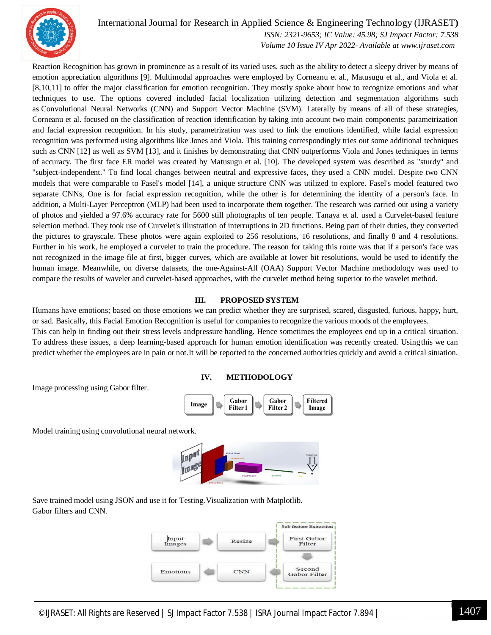

#### International Journal for Research in Applied Science & Engineering Technology (IJRASET**)**

 *ISSN: 2321-9653; IC Value: 45.98; SJ Impact Factor: 7.538 Volume 10 Issue IV Apr 2022- Available at www.ijraset.com*

Reaction Recognition has grown in prominence as a result of its varied uses, such as the ability to detect a sleepy driver by means of emotion appreciation algorithms [9]. Multimodal approaches were employed by Corneanu et al., Matusugu et al., and Viola et al. [8,10,11] to offer the major classification for emotion recognition. They mostly spoke about how to recognize emotions and what techniques to use. The options covered included facial localization utilizing detection and segmentation algorithms such as Convolutional Neural Networks (CNN) and Support Vector Machine (SVM). Laterally by means of all of these strategies, Corneanu et al. focused on the classification of reaction identification by taking into account two main components: parametrization and facial expression recognition. In his study, parametrization was used to link the emotions identified, while facial expression recognition was performed using algorithms like Jones and Viola. This training correspondingly tries out some additional techniques such as CNN [12] as well as SVM [13], and it finishes by demonstrating that CNN outperforms Viola and Jones techniques in terms of accuracy. The first face ER model was created by Matusugu et al. [10]. The developed system was described as "sturdy" and "subject-independent." To find local changes between neutral and expressive faces, they used a CNN model. Despite two CNN models that were comparable to Fasel's model [14], a unique structure CNN was utilized to explore. Fasel's model featured two separate CNNs, One is for facial expression recognition, while the other is for determining the identity of a person's face. In addition, a Multi-Layer Perceptron (MLP) had been used to incorporate them together. The research was carried out using a variety of photos and yielded a 97.6% accuracy rate for 5600 still photographs of ten people. Tanaya et al. used a Curvelet-based feature selection method. They took use of Curvelet's illustration of interruptions in 2D functions. Being part of their duties, they converted the pictures to grayscale. These photos were again exploited to 256 resolutions, 16 resolutions, and finally 8 and 4 resolutions. Further in his work, he employed a curvelet to train the procedure. The reason for taking this route was that if a person's face was not recognized in the image file at first, bigger curves, which are available at lower bit resolutions, would be used to identify the human image. Meanwhile, on diverse datasets, the one-Against-All (OAA) Support Vector Machine methodology was used to compare the results of wavelet and curvelet-based approaches, with the curvelet method being superior to the wavelet method.

#### **III. PROPOSED SYSTEM**

Humans have emotions; based on those emotions we can predict whether they are surprised, scared, disgusted, furious, happy, hurt, or sad. Basically, this Facial Emotion Recognition is useful for companies to recognize the various moods of the employees. This can help in finding out their stress levels andpressure handling. Hence sometimes the employees end up in a critical situation. To address these issues, a deep learning-based approach for human emotion identification was recently created. Usingthis we can predict whether the employees are in pain or not.It will be reported to the concerned authorities quickly and avoid a critical situation.



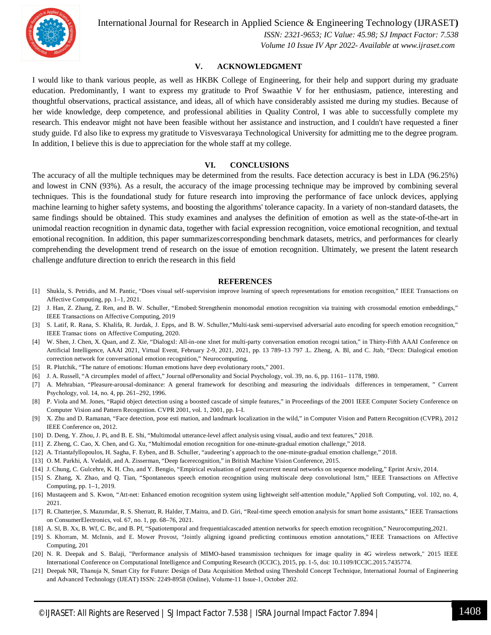

International Journal for Research in Applied Science & Engineering Technology (IJRASET**)**

 *ISSN: 2321-9653; IC Value: 45.98; SJ Impact Factor: 7.538 Volume 10 Issue IV Apr 2022- Available at www.ijraset.com*

#### **V. ACKNOWLEDGMENT**

I would like to thank various people, as well as HKBK College of Engineering, for their help and support during my graduate education. Predominantly, I want to express my gratitude to Prof Swaathie V for her enthusiasm, patience, interesting and thoughtful observations, practical assistance, and ideas, all of which have considerably assisted me during my studies. Because of her wide knowledge, deep competence, and professional abilities in Quality Control, I was able to successfully complete my research. This endeavor might not have been feasible without her assistance and instruction, and I couldn't have requested a finer study guide. I'd also like to express my gratitude to Visvesvaraya Technological University for admitting me to the degree program. In addition, I believe this is due to appreciation for the whole staff at my college.

#### **VI. CONCLUSIONS**

The accuracy of all the multiple techniques may be determined from the results. Face detection accuracy is best in LDA (96.25%) and lowest in CNN (93%). As a result, the accuracy of the image processing technique may be improved by combining several techniques. This is the foundational study for future research into improving the performance of face unlock devices, applying machine learning to higher safety systems, and boosting the algorithms' tolerance capacity. In a variety of non-standard datasets, the same findings should be obtained. This study examines and analyses the definition of emotion as well as the state-of-the-art in unimodal reaction recognition in dynamic data, together with facial expression recognition, voice emotional recognition, and textual emotional recognition. In addition, this paper summarizescorresponding benchmark datasets, metrics, and performances for clearly comprehending the development trend of research on the issue of emotion recognition. Ultimately, we present the latent research challenge andfuture direction to enrich the research in this field

#### **REFERENCES**

- [1] Shukla, S. Petridis, and M. Pantic, "Does visual self-supervision improve learning of speech representations for emotion recognition," IEEE Transactions on Affective Computing, pp. 1–1, 2021.
- [2] J. Han, Z. Zhang, Z. Ren, and B. W. Schuller, "Emobed:Strengthenin monomodal emotion recognition via training with crossmodal emotion embeddings," IEEE Transactions on Affective Computing, 2019
- [3] S. Latif, R. Rana, S. Khalifa, R. Jurdak, J. Epps, and B. W. Schuller,"Multi-task semi-supervised adversarial auto encoding for speech emotion recognition," IEEE Transac tions on Affective Computing, 2020.
- [4] W. Shen, J. Chen, X. Quan, and Z. Xie, "Dialogxl: All-in-one xlnet for multi-party conversation emotion recogni tation," in Thirty-Fifth AAAI Conference on Artificial Intelligence, AAAI 2021, Virtual Event, February 2-9, 2021, 2021, pp. 13 789–13 797 .L. Zheng, A. Bl, and C. Jtab, "Decn: Dialogical emotion correction network for conversational emotion recognition," Neurocomputing,
- [5] R. Plutchik, "The nature of emotions: Human emotions have deep evolutionary roots," 2001.
- [6] J. A. Russell, "A circumplex model of affect," Journal ofPersonality and Social Psychology, vol. 39, no. 6, pp. 1161– 1178, 1980.
- [7] A. Mehrabian, "Pleasure-arousal-dominance: A general framework for describing and measuring the individuals differences in temperament, " Current Psychology, vol. 14, no. 4, pp. 261–292, 1996.
- [8] P. Viola and M. Jones, "Rapid object detection using a boosted cascade of simple features," in Proceedings of the 2001 IEEE Computer Society Conference on Computer Vision and Pattern Recognition. CVPR 2001, vol. 1, 2001, pp. I–I.
- [9] X. Zhu and D. Ramanan, "Face detection, pose esti mation, and landmark localization in the wild," in Computer Vision and Pattern Recognition (CVPR), 2012 IEEE Conference on, 2012.
- [10] D. Deng, Y. Zhou, J. Pi, and B. E. Shi, "Multimodal utterance-level affect analysis using visual, audio and text features," 2018.
- [11] Z. Zheng, C. Cao, X. Chen, and G. Xu, "Multimodal emotion recognition for one-minute-gradual emotion challenge," 2018.
- [12] A. Triantafyllopoulos, H. Sagha, F. Eyben, and B. Schuller, "audeering's approach to the one-minute-gradual emotion challenge," 2018.
- [13] O. M. Parkhi, A. Vedaldi, and A. Zisserman, "Deep facerecognition," in British Machine Vision Conference, 2015.
- [14] J. Chung, C. Gulcehre, K. H. Cho, and Y. Bengio, "Empirical evaluation of gated recurrent neural networks on sequence modeling," Eprint Arxiv, 2014.
- [15] S. Zhang, X. Zhao, and Q. Tian, "Spontaneous speech emotion recognition using multiscale deep convolutional lstm," IEEE Transactions on Affective Computing, pp. 1–1, 2019.
- [16] Mustaqeem and S. Kwon, "Att-net: Enhanced emotion recognition system using lightweight self-attention module,"Applied Soft Computing, vol. 102, no. 4, 2021.
- [17] R. Chatterjee, S. Mazumdar, R. S. Sherratt, R. Halder, T.Maitra, and D. Giri, "Real-time speech emotion analysis for smart home assistants," IEEE Transactions on ConsumerElectronics, vol. 67, no. 1, pp. 68–76, 2021.
- [18] A. Sl, B. Xx, B. Wf, C. Bc, and B. Pf, "Spatiotemporal and frequentialcascaded attention networks for speech emotion recognition," Neurocomputing,2021.
- [19] S. Khorram, M. McInnis, and E. Mower Provost, "Jointly aligning igoand predicting continuous emotion annotations," IEEE Transactions on Affective Computing, 201
- [20] N. R. Deepak and S. Balaji, "Performance analysis of MIMO-based transmission techniques for image quality in 4G wireless network," 2015 IEEE International Conference on Computational Intelligence and Computing Research (ICCIC), 2015, pp. 1-5, doi: 10.1109/ICCIC.2015.7435774.
- [21] Deepak NR, Thanuja N, Smart City for Future: Design of Data Acquisition Method using Threshold Concept Technique, International Journal of Engineering and Advanced Technology (IJEAT) ISSN: 2249-8958 (Online), Volume-11 Issue-1, October 202.